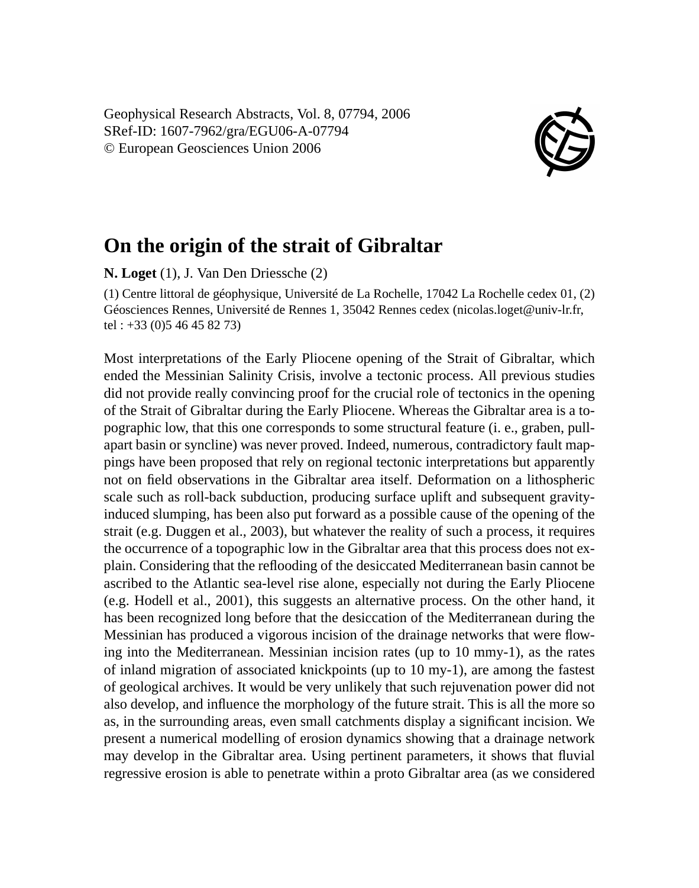Geophysical Research Abstracts, Vol. 8, 07794, 2006 SRef-ID: 1607-7962/gra/EGU06-A-07794 © European Geosciences Union 2006



## **On the origin of the strait of Gibraltar**

**N. Loget** (1), J. Van Den Driessche (2)

(1) Centre littoral de géophysique, Université de La Rochelle, 17042 La Rochelle cedex 01, (2) Géosciences Rennes, Université de Rennes 1, 35042 Rennes cedex (nicolas.loget@univ-lr.fr, tel : +33 (0)5 46 45 82 73)

Most interpretations of the Early Pliocene opening of the Strait of Gibraltar, which ended the Messinian Salinity Crisis, involve a tectonic process. All previous studies did not provide really convincing proof for the crucial role of tectonics in the opening of the Strait of Gibraltar during the Early Pliocene. Whereas the Gibraltar area is a topographic low, that this one corresponds to some structural feature (i. e., graben, pullapart basin or syncline) was never proved. Indeed, numerous, contradictory fault mappings have been proposed that rely on regional tectonic interpretations but apparently not on field observations in the Gibraltar area itself. Deformation on a lithospheric scale such as roll-back subduction, producing surface uplift and subsequent gravityinduced slumping, has been also put forward as a possible cause of the opening of the strait (e.g. Duggen et al., 2003), but whatever the reality of such a process, it requires the occurrence of a topographic low in the Gibraltar area that this process does not explain. Considering that the reflooding of the desiccated Mediterranean basin cannot be ascribed to the Atlantic sea-level rise alone, especially not during the Early Pliocene (e.g. Hodell et al., 2001), this suggests an alternative process. On the other hand, it has been recognized long before that the desiccation of the Mediterranean during the Messinian has produced a vigorous incision of the drainage networks that were flowing into the Mediterranean. Messinian incision rates (up to 10 mmy-1), as the rates of inland migration of associated knickpoints (up to 10 my-1), are among the fastest of geological archives. It would be very unlikely that such rejuvenation power did not also develop, and influence the morphology of the future strait. This is all the more so as, in the surrounding areas, even small catchments display a significant incision. We present a numerical modelling of erosion dynamics showing that a drainage network may develop in the Gibraltar area. Using pertinent parameters, it shows that fluvial regressive erosion is able to penetrate within a proto Gibraltar area (as we considered